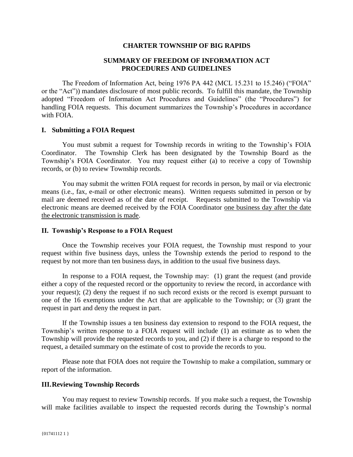#### **CHARTER TOWNSHIP OF BIG RAPIDS**

### **SUMMARY OF FREEDOM OF INFORMATION ACT PROCEDURES AND GUIDELINES**

The Freedom of Information Act, being 1976 PA 442 (MCL 15.231 to 15.246) ("FOIA" or the "Act")) mandates disclosure of most public records. To fulfill this mandate, the Township adopted "Freedom of Information Act Procedures and Guidelines" (the "Procedures") for handling FOIA requests. This document summarizes the Township's Procedures in accordance with FOIA.

#### **I. Submitting a FOIA Request**

You must submit a request for Township records in writing to the Township's FOIA Coordinator. The Township Clerk has been designated by the Township Board as the Township's FOIA Coordinator. You may request either (a) to receive a copy of Township records, or (b) to review Township records.

You may submit the written FOIA request for records in person, by mail or via electronic means (i.e., fax, e-mail or other electronic means). Written requests submitted in person or by mail are deemed received as of the date of receipt. Requests submitted to the Township via electronic means are deemed received by the FOIA Coordinator one business day after the date the electronic transmission is made.

#### **II. Township's Response to a FOIA Request**

Once the Township receives your FOIA request, the Township must respond to your request within five business days, unless the Township extends the period to respond to the request by not more than ten business days, in addition to the usual five business days.

In response to a FOIA request, the Township may: (1) grant the request (and provide either a copy of the requested record or the opportunity to review the record, in accordance with your request); (2) deny the request if no such record exists or the record is exempt pursuant to one of the 16 exemptions under the Act that are applicable to the Township; or (3) grant the request in part and deny the request in part.

If the Township issues a ten business day extension to respond to the FOIA request, the Township's written response to a FOIA request will include (1) an estimate as to when the Township will provide the requested records to you, and (2) if there is a charge to respond to the request, a detailed summary on the estimate of cost to provide the records to you.

Please note that FOIA does not require the Township to make a compilation, summary or report of the information.

#### **III.Reviewing Township Records**

You may request to review Township records. If you make such a request, the Township will make facilities available to inspect the requested records during the Township's normal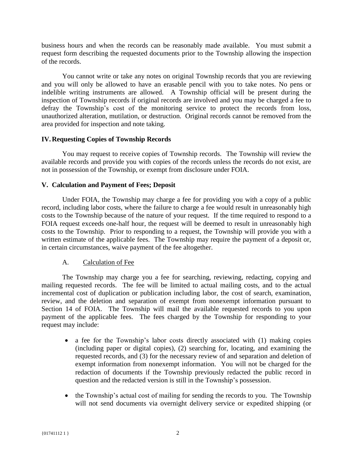business hours and when the records can be reasonably made available. You must submit a request form describing the requested documents prior to the Township allowing the inspection of the records.

You cannot write or take any notes on original Township records that you are reviewing and you will only be allowed to have an erasable pencil with you to take notes. No pens or indelible writing instruments are allowed. A Township official will be present during the inspection of Township records if original records are involved and you may be charged a fee to defray the Township's cost of the monitoring service to protect the records from loss, unauthorized alteration, mutilation, or destruction. Original records cannot be removed from the area provided for inspection and note taking.

## **IV.Requesting Copies of Township Records**

You may request to receive copies of Township records. The Township will review the available records and provide you with copies of the records unless the records do not exist, are not in possession of the Township, or exempt from disclosure under FOIA.

## **V. Calculation and Payment of Fees; Deposit**

Under FOIA, the Township may charge a fee for providing you with a copy of a public record, including labor costs, where the failure to charge a fee would result in unreasonably high costs to the Township because of the nature of your request. If the time required to respond to a FOIA request exceeds one-half hour, the request will be deemed to result in unreasonably high costs to the Township. Prior to responding to a request, the Township will provide you with a written estimate of the applicable fees. The Township may require the payment of a deposit or, in certain circumstances, waive payment of the fee altogether.

# A. Calculation of Fee

The Township may charge you a fee for searching, reviewing, redacting, copying and mailing requested records. The fee will be limited to actual mailing costs, and to the actual incremental cost of duplication or publication including labor, the cost of search, examination, review, and the deletion and separation of exempt from nonexempt information pursuant to Section 14 of FOIA. The Township will mail the available requested records to you upon payment of the applicable fees. The fees charged by the Township for responding to your request may include:

- a fee for the Township's labor costs directly associated with (1) making copies (including paper or digital copies), (2) searching for, locating, and examining the requested records, and (3) for the necessary review of and separation and deletion of exempt information from nonexempt information. You will not be charged for the redaction of documents if the Township previously redacted the public record in question and the redacted version is still in the Township's possession.
- the Township's actual cost of mailing for sending the records to you. The Township will not send documents via overnight delivery service or expedited shipping (or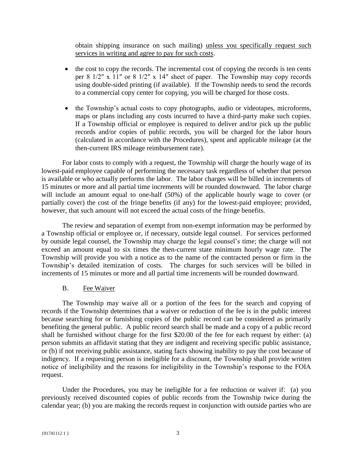obtain shipping insurance on such mailing) unless you specifically request such services in writing and agree to pay for such costs.

- the cost to copy the records. The incremental cost of copying the records is ten cents per 8 1/2″ x 11″ or 8 1/2″ x 14″ sheet of paper. The Township may copy records using double-sided printing (if available). If the Township needs to send the records to a commercial copy center for copying, you will be charged for those costs.
- the Township's actual costs to copy photographs, audio or videotapes, microforms, maps or plans including any costs incurred to have a third-party make such copies. If a Township official or employee is required to deliver and/or pick up the public records and/or copies of public records, you will be charged for the labor hours (calculated in accordance with the Procedures), spent and applicable mileage (at the then-current IRS mileage reimbursement rate).

For labor costs to comply with a request, the Township will charge the hourly wage of its lowest-paid employee capable of performing the necessary task regardless of whether that person is available or who actually performs the labor. The labor charges will be billed in increments of 15 minutes or more and all partial time increments will be rounded downward. The labor charge will include an amount equal to one-half (50%) of the applicable hourly wage to cover (or partially cover) the cost of the fringe benefits (if any) for the lowest-paid employee; provided, however, that such amount will not exceed the actual costs of the fringe benefits.

The review and separation of exempt from non-exempt information may be performed by a Township official or employee or, if necessary, outside legal counsel. For services performed by outside legal counsel, the Township may charge the legal counsel's time; the charge will not exceed an amount equal to six times the then-current state minimum hourly wage rate. The Township will provide you with a notice as to the name of the contracted person or firm in the Township's detailed itemization of costs. The charges for such services will be billed in increments of 15 minutes or more and all partial time increments will be rounded downward.

### B. Fee Waiver

The Township may waive all or a portion of the fees for the search and copying of records if the Township determines that a waiver or reduction of the fee is in the public interest because searching for or furnishing copies of the public record can be considered as primarily benefiting the general public. A public record search shall be made and a copy of a public record shall be furnished without charge for the first \$20.00 of the fee for each request by either: (a) person submits an affidavit stating that they are indigent and receiving specific public assistance, or (b) if not receiving public assistance, stating facts showing inability to pay the cost because of indigency. If a requesting person is ineligible for a discount, the Township shall provide written notice of ineligibility and the reasons for ineligibility in the Township's response to the FOIA request.

Under the Procedures, you may be ineligible for a fee reduction or waiver if: (a) you previously received discounted copies of public records from the Township twice during the calendar year; (b) you are making the records request in conjunction with outside parties who are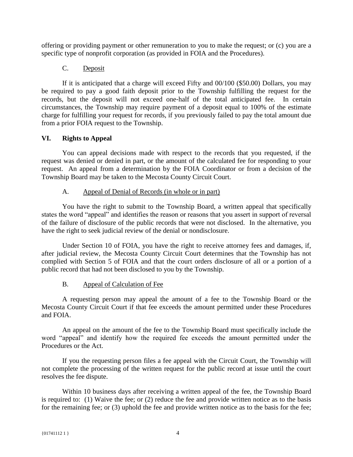offering or providing payment or other remuneration to you to make the request; or (c) you are a specific type of nonprofit corporation (as provided in FOIA and the Procedures).

# C. Deposit

If it is anticipated that a charge will exceed Fifty and 00/100 (\$50.00) Dollars, you may be required to pay a good faith deposit prior to the Township fulfilling the request for the records, but the deposit will not exceed one‐half of the total anticipated fee. In certain circumstances, the Township may require payment of a deposit equal to 100% of the estimate charge for fulfilling your request for records, if you previously failed to pay the total amount due from a prior FOIA request to the Township.

# **VI. Rights to Appeal**

You can appeal decisions made with respect to the records that you requested, if the request was denied or denied in part, or the amount of the calculated fee for responding to your request. An appeal from a determination by the FOIA Coordinator or from a decision of the Township Board may be taken to the Mecosta County Circuit Court.

## A. Appeal of Denial of Records (in whole or in part)

You have the right to submit to the Township Board, a written appeal that specifically states the word "appeal" and identifies the reason or reasons that you assert in support of reversal of the failure of disclosure of the public records that were not disclosed. In the alternative, you have the right to seek judicial review of the denial or nondisclosure.

Under Section 10 of FOIA, you have the right to receive attorney fees and damages, if, after judicial review, the Mecosta County Circuit Court determines that the Township has not complied with Section 5 of FOIA and that the court orders disclosure of all or a portion of a public record that had not been disclosed to you by the Township.

# B. Appeal of Calculation of Fee

A requesting person may appeal the amount of a fee to the Township Board or the Mecosta County Circuit Court if that fee exceeds the amount permitted under these Procedures and FOIA.

An appeal on the amount of the fee to the Township Board must specifically include the word "appeal" and identify how the required fee exceeds the amount permitted under the Procedures or the Act.

If you the requesting person files a fee appeal with the Circuit Court, the Township will not complete the processing of the written request for the public record at issue until the court resolves the fee dispute.

Within 10 business days after receiving a written appeal of the fee, the Township Board is required to: (1) Waive the fee; or (2) reduce the fee and provide written notice as to the basis for the remaining fee; or (3) uphold the fee and provide written notice as to the basis for the fee;